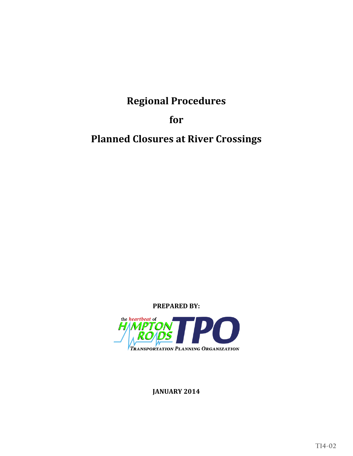#### **HAMPTON ROADS TRANSPORTATION PLANNING ORGANIZATION VOTING MEMBERS**

Dwight L. Farmer Executive Director/Secretary

**CHESAPEAKE POQUOSON**

**GLOUCESTER COUNTY PORTSMOUTH** Carter Borden Kenneth I. Wright

**HAMPTON SUFFOLK**

**ISLE OF WIGHT COUNTY VIRGINIA BEACH** Delores Dee-Dee Darden William D. Sessoms, Jr.

**JAMES CITY COUNTY WILLIAMSBURG** Mary K. Jones **Clyde A. Haulman** 

**NEWPORT NEWS YORK COUNTY**

**NORFOLK** Paul D. Fraim

Alan P. Krasnoff W. Eugene Hunt, Jr.

George Wallace **Linda T. Johnson** 

McKinley Price Thomas G. Shepperd, Jr.

## **MEMBERS OF THE VIRGINIA SENATE**

The Honorable Thomas K. Norment, Jr. The Honorable Frank W. Wagner

# **MEMBERS OF THE VIRGINIA HOUSE OF DELEGATES**

The Honorable Christopher P. Stolle The Honorable David Yancey

**TRANSPORTATION DISTRICT COMMISSION OF HAMPTON ROADS** William A. Harrell, President/Chief Executive Officer

**WILLIAMSBURG AREA TRANSIT AUTHORITY** Kevan Danker, Executive Director

**VIRGINIA DEPARTMENT OF TRANSPORTATION** James Utterback, Hampton Roads District Administrator

**VIRGINIA DEPARTMENT OF RAIL AND PUBLIC TRANSPORTATION** Thelma Drake, Director

**VIRGINIA PORT AUTHORITY** Rodney Oliver, Interim Executive Director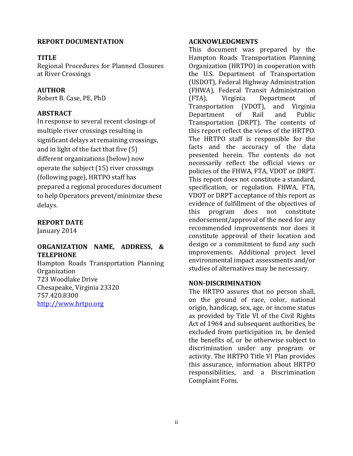#### **HAMPTON ROADS TRANSPORTATION PLANNING ORGANIZATION NON-VOTING MEMBERS**

**GLOUCESTER COUNTY NEWPORT NEWS SUFFOLK** Brenda G. Garton Jim Bourey Selena Cuffee-Glenn

**ISLE OF WIGHT COUNTY POQUOSON WILLIAMSBURG** Anne Seward **J. Randall Wheeler** Jackson C. Tuttle

**CHESAPEAKE JAMES CITY COUNTY PORTSMOUTH** James E. Baker Doug Powell John Rowe

**HAMPTON NORFOLK VIRGINIA BEACH** Mary Bunting **Marcus Jones** Marcus Jones James K. Spore

**YORK COUNTY** James O. McReynolds

# **FEDERAL HIGHWAY ADMINISTRATION**

Irene Rico, Division Administrator – Virginia Division

#### **FEDERAL TRANSIT ADMINISTRATION**

Brigid Hynes-Cherin, Regional Administrator, Region 3

#### **FEDERAL AVIATION ADMINISTRATION**

Jeffrey W. Breeden, Airport Planner, Washington Airports District Office

#### **VIRGINIA DEPARTMENT OF AVIATION** Randall P. Burdette, Director

**PENINSULA AIRPORT COMMISSION** Ken Spirito, Executive Director

**NORFOLK AIRPORT AUTHORITY** Wayne E. Shank, Executive Director

#### **CITIZEN TRANSPORTATION ADVISORY COMMITTEE**

Shepelle Watkins-White, Chair

#### **FREIGHT TRANSPORTATION ADVISORY COMMITTEE**

William Bell, Co-Chair (Nonvoting Board Member) Delegate Christopher P. Stolle, Co-Chair (Voting Board Member)

**MILITARY LIAISONS INVITED PARTICIPANTS**

David A. Culler, Captain, U.S. Navy Hollis D. Ellis, CTB و Hollis D. Ellis, CTB<br>John Little, Captain, U.S. Coast Guard W. Shepperd Miller, III, CTB John Little, Captain, U.S. Coast Guard John J. Allen, Jr. Colonel, Langley Thomas R. Wetherington, Colonel, Langley

## **HRTPO PROJECT STAFF**

| Camelia Ravanbakht, Ph.D.   | Deputy Executive Director                 |
|-----------------------------|-------------------------------------------|
| Robert B. Case, Ph.D., P.E. | <b>Principal Transportation Engineer</b>  |
| Kathlene Grauberger         | Senior Administrative Assistant           |
| Michael Long                | <b>General Services Manager</b>           |
| Christopher Vaigneur        | <b>Assistant General Services Manager</b> |
|                             |                                           |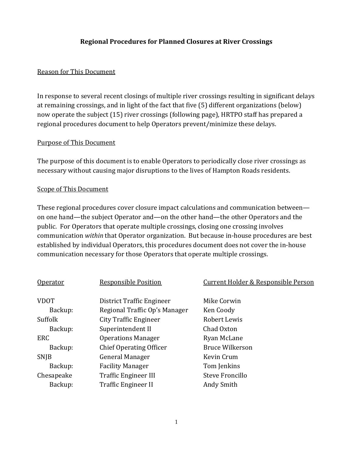# **Regional Procedures**

for

**Planned Closures at River Crossings**

**PREPARED BY:**



**JANUARY 2014**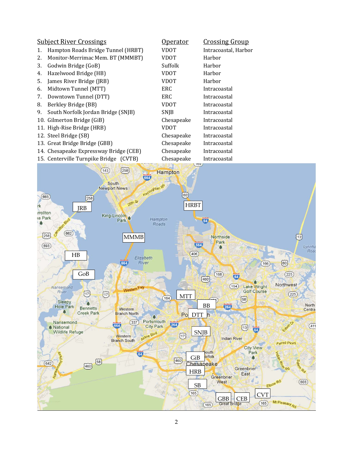#### **REPORT DOCUMENTATION**

#### **TITLE**

Regional Procedures for Planned Closures at River Crossings

## **AUTHOR**

Robert B. Case, PE, PhD

#### **ABSTRACT**

In response to several recent closings of multiple river crossings resulting in significant delays at remaining crossings, and in light of the fact that five  $(5)$ different organizations (below) now operate the subject  $(15)$  river crossings (following page), HRTPO staff has prepared a regional procedures document to help Operators prevent/minimize these delays. 

## **REPORT DATE**

January 2014

## **ORGANIZATION NAME, ADDRESS, & TELEPHONE**

Hampton Roads Transportation Planning Organization 723 Woodlake Drive Chesapeake, Virginia 23320 757.420.8300 http://www.hrtpo.org 

#### **ACKNOWLEDGMENTS**

This document was prepared by the Hampton Roads Transportation Planning Organization (HRTPO) in cooperation with the U.S. Department of Transportation (USDOT), Federal Highway Administration (FHWA), Federal Transit Administration (FTA), Virginia Department of Transportation (VDOT), and Virginia Department of Rail and Public Transportation (DRPT). The contents of this report reflect the views of the HRTPO. The HRTPO staff is responsible for the facts and the accuracy of the data presented herein. The contents do not necessarily reflect the official views or policies of the FHWA, FTA, VDOT or DRPT. This report does not constitute a standard, specification, or regulation. FHWA, FTA, VDOT or DRPT acceptance of this report as evidence of fulfillment of the objectives of this program does not constitute endorsement/approval of the need for any recommended improvements nor does it constitute approval of their location and design or a commitment to fund any such improvements. Additional project level environmental impact assessments and/or studies of alternatives may be necessary.

#### **NON‐DISCRIMINATION**

The HRTPO assures that no person shall, on the ground of race, color, national origin, handicap, sex, age, or income status as provided by Title VI of the Civil Rights Act of 1964 and subsequent authorities, be excluded from participation in, be denied the benefits of, or be otherwise subject to discrimination under any program or activity. The HRTPO Title VI Plan provides this assurance, information about HRTPO responsibilities, and a Discrimination Complaint Form.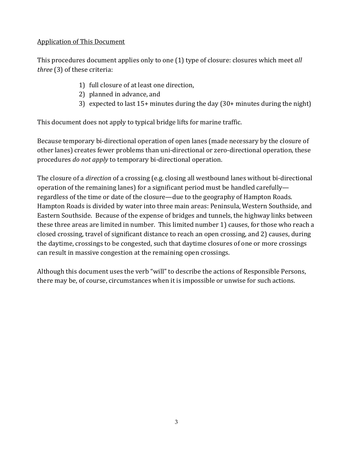#### **Regional Procedures for Planned Closures at River Crossings**

#### **Reason for This Document**

In response to several recent closings of multiple river crossings resulting in significant delays at remaining crossings, and in light of the fact that five (5) different organizations (below) now operate the subject (15) river crossings (following page), HRTPO staff has prepared a regional procedures document to help Operators prevent/minimize these delays.

#### Purpose of This Document

The purpose of this document is to enable Operators to periodically close river crossings as necessary without causing major disruptions to the lives of Hampton Roads residents.

#### Scope of This Document

These regional procedures cover closure impact calculations and communication between on one hand—the subject Operator and—on the other hand—the other Operators and the public. For Operators that operate multiple crossings, closing one crossing involves communication within that Operator organization. But because in-house procedures are best established by individual Operators, this procedures document does not cover the in-house communication necessary for those Operators that operate multiple crossings.

| <b>Responsible Position</b>    | Current Holder & Responsible Person |
|--------------------------------|-------------------------------------|
| District Traffic Engineer      | Mike Corwin                         |
| Regional Traffic Op's Manager  | Ken Coody                           |
| City Traffic Engineer          | Robert Lewis                        |
| Superintendent II              | Chad Oxton                          |
| <b>Operations Manager</b>      | Ryan McLane                         |
| <b>Chief Operating Officer</b> | <b>Bruce Wilkerson</b>              |
| General Manager                | Kevin Crum                          |
| <b>Facility Manager</b>        | Tom Jenkins                         |
| <b>Traffic Engineer III</b>    | Steve Froncillo                     |
| Traffic Engineer II            | Andy Smith                          |
|                                |                                     |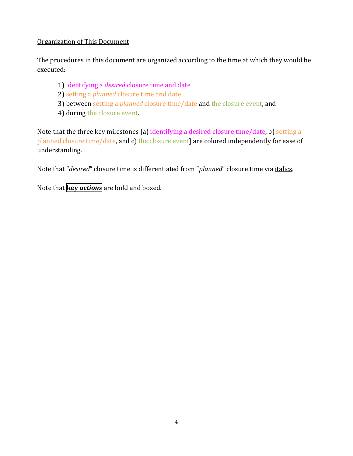|    | <u>Subject River Crossings</u>         | <u> Operator</u> | <u>Crossing Group</u> |
|----|----------------------------------------|------------------|-----------------------|
| 1. | Hampton Roads Bridge Tunnel (HRBT)     | VDOT             | Intracoastal, Harbor  |
| 2. | Monitor-Merrimac Mem. BT (MMMBT)       | <b>VDOT</b>      | Harbor                |
| 3. | Godwin Bridge (GoB)                    | Suffolk          | Harbor                |
| 4. | Hazelwood Bridge (HB)                  | <b>VDOT</b>      | Harbor                |
| 5. | James River Bridge (JRB)               | <b>VDOT</b>      | Harbor                |
| 6. | Midtown Tunnel (MTT)                   | ERC              | Intracoastal          |
| 7. | Downtown Tunnel (DTT)                  | <b>ERC</b>       | Intracoastal          |
| 8. | Berkley Bridge (BB)                    | <b>VDOT</b>      | Intracoastal          |
| 9. | South Norfolk Jordan Bridge (SNJB)     | <b>SNJB</b>      | Intracoastal          |
|    | 10. Gilmerton Bridge (GiB)             | Chesapeake       | Intracoastal          |
|    | 11. High-Rise Bridge (HRB)             | <b>VDOT</b>      | Intracoastal          |
|    | 12. Steel Bridge (SB)                  | Chesapeake       | Intracoastal          |
|    | 13. Great Bridge Bridge (GBB)          | Chesapeake       | Intracoastal          |
|    | 14. Chesapeake Expressway Bridge (CEB) | Chesapeake       | Intracoastal          |
|    | 15. Centerville Turnpike Bridge (CVTB) | Chesapeake       | Intracoastal          |
|    |                                        |                  |                       |

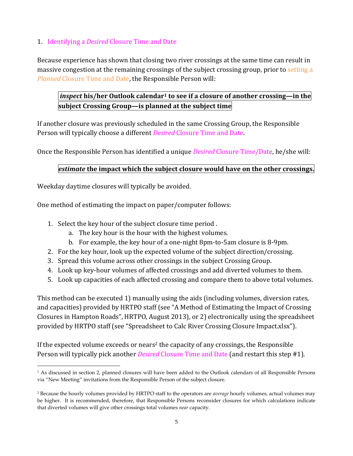#### **Application of This Document**

This procedures document applies only to one (1) type of closure: closures which meet *all three* (3) of these criteria:

- 1) full closure of at least one direction,
- 2) planned in advance, and
- 3) expected to last  $15+$  minutes during the day  $(30+$  minutes during the night)

This document does not apply to typical bridge lifts for marine traffic.

Because temporary bi-directional operation of open lanes (made necessary by the closure of other lanes) creates fewer problems than uni-directional or zero-directional operation, these procedures *do* not *apply* to temporary bi-directional operation.

The closure of a *direction* of a crossing (e.g. closing all westbound lanes without bi-directional operation of the remaining lanes) for a significant period must be handled carefully regardless of the time or date of the closure—due to the geography of Hampton Roads. Hampton Roads is divided by water into three main areas: Peninsula, Western Southside, and Eastern Southside. Because of the expense of bridges and tunnels, the highway links between these three areas are limited in number. This limited number 1) causes, for those who reach a closed crossing, travel of significant distance to reach an open crossing, and 2) causes, during the daytime, crossings to be congested, such that daytime closures of one or more crossings can result in massive congestion at the remaining open crossings.

Although this document uses the verb "will" to describe the actions of Responsible Persons, there may be, of course, circumstances when it is impossible or unwise for such actions.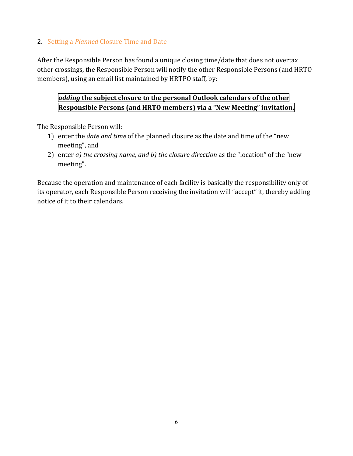#### Organization of This Document

The procedures in this document are organized according to the time at which they would be executed: 

- 1) identifying a *desired* closure time and date
- 2) setting a *planned* closure time and date
- 3) between setting a *planned* closure time/date and the closure event, and
- 4) during the closure event.

Note that the three key milestones [a) identifying a desired closure time/date, b) setting a planned closure time/date, and c) the closure event] are colored independently for ease of understanding. 

Note that "*desired*" closure time is differentiated from "*planned*" closure time via *italics*.

Note that **key** *actions* are bold and boxed.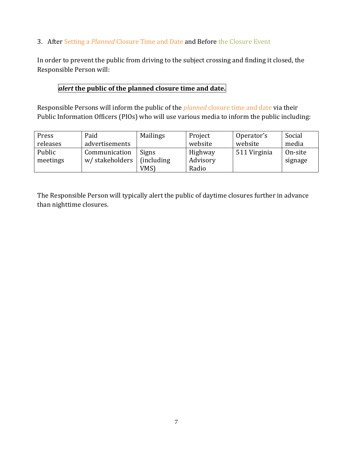# 1. Identifying a *Desired* Closure Time and Date

Because experience has shown that closing two river crossings at the same time can result in massive congestion at the remaining crossings of the subject crossing group, prior to setting a *Planned* Closure Time and Date, the Responsible Person will:

# *inspect* **his/her Outlook calendar1 to see if a closure of another crossing—in the subject Crossing Group—is planned at the subject time**

If another closure was previously scheduled in the same Crossing Group, the Responsible Person will typically choose a different *Desired* Closure Time and Date.

Once the Responsible Person has identified a unique *Desired* Closure Time/Date, he/she will:

## *estimate* **the impact which the subject closure would have on the other crossings.**

Weekday daytime closures will typically be avoided.

<u> 1989 - Johann Stein, marwolaethau a bhann an t-Amhair Aonaichte an t-Amhair Aonaichte an t-Amhair Aonaichte a</u>

One method of estimating the impact on paper/computer follows:

- 1. Select the key hour of the subject closure time period.
	- a. The key hour is the hour with the highest volumes.
	- b. For example, the key hour of a one-night 8pm-to-5am closure is 8-9pm.
- 2. For the key hour, look up the expected volume of the subject direction/crossing.
- 3. Spread this volume across other crossings in the subject Crossing Group.
- 4. Look up key-hour volumes of affected crossings and add diverted volumes to them.
- 5. Look up capacities of each affected crossing and compare them to above total volumes.

This method can be executed 1) manually using the aids (including volumes, diversion rates, and capacities) provided by HRTPO staff (see "A Method of Estimating the Impact of Crossing Closures in Hampton Roads", HRTPO, August 2013), or 2) electronically using the spreadsheet provided by HRTPO staff (see "Spreadsheet to Calc River Crossing Closure Impact.xlsx").

If the expected volume exceeds or nears<sup>2</sup> the capacity of any crossings, the Responsible Person will typically pick another *Desired* Closure Time and Date (and restart this step #1).

<sup>&</sup>lt;sup>1</sup> As discussed in section 2, planned closures will have been added to the Outlook calendars of all Responsible Persons via "New Meeting" invitations from the Responsible Person of the subject closure.

<sup>2</sup> Because the hourly volumes provided by HRTPO staff to the operators are *average* hourly volumes, actual volumes may be higher. It is recommended, therefore, that Responsible Persons reconsider closures for which calculations indicate that diverted volumes will give other crossings total volumes *near* capacity.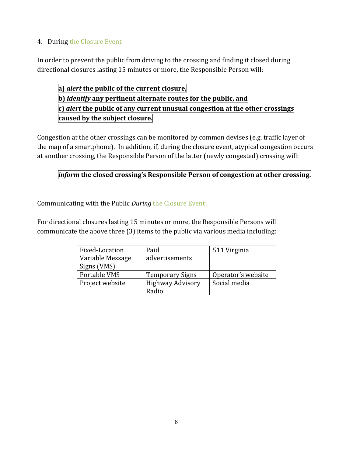# 2. Setting a *Planned* Closure Time and Date

After the Responsible Person has found a unique closing time/date that does not overtax other crossings, the Responsible Person will notify the other Responsible Persons (and HRTO members), using an email list maintained by HRTPO staff, by:

# *adding* **the subject closure to the personal Outlook calendars of the other Responsible Persons (and HRTO members) via a "New Meeting" invitation.**

The Responsible Person will:

- 1) enter the *date* and *time* of the planned closure as the date and time of the "new meeting", and
- 2) enter *a*) *the crossing name, and b*) *the closure direction* as the "location" of the "new meeting".

Because the operation and maintenance of each facility is basically the responsibility only of its operator, each Responsible Person receiving the invitation will "accept" it, thereby adding notice of it to their calendars.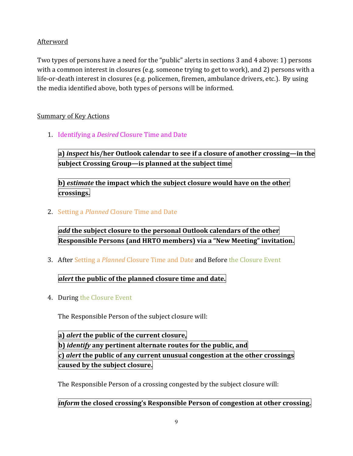### 3. After Setting a *Planned* Closure Time and Date and Before the Closure Event

In order to prevent the public from driving to the subject crossing and finding it closed, the Responsible Person will:

## *alert* **the public of the planned closure time and date.**

Responsible Persons will inform the public of the *planned* closure time and date via their Public Information Officers (PIOs) who will use various media to inform the public including:

| Press    | Paid           | <b>Mailings</b>    | Project  | Operator's   | Social  |
|----------|----------------|--------------------|----------|--------------|---------|
| releases | advertisements |                    | website  | website      | media   |
| Public   | Communication  | Signs              | Highway  | 511 Virginia | On-site |
| meetings | w/stakeholders | <i>(including)</i> | Advisory |              | signage |
|          |                | VMS)               | Radio    |              |         |

The Responsible Person will typically alert the public of daytime closures further in advance than nighttime closures.